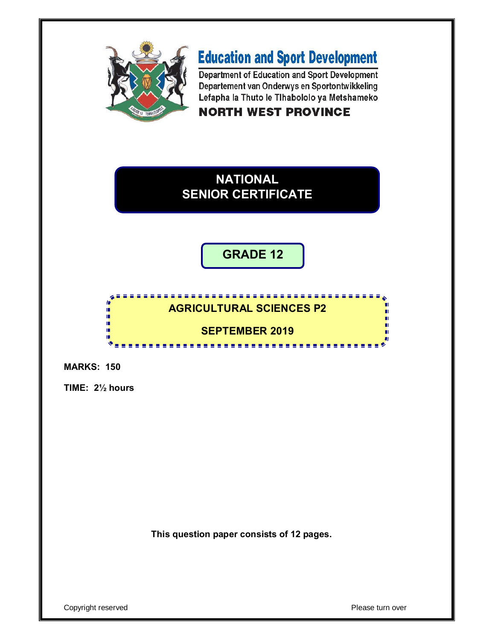

# **Education and Sport Development**

Department of Education and Sport Development Departement van Onderwys en Sportontwikkeling Lefapha la Thuto le Tihabololo ya Metshameko **NORTH WEST PROVINCE** 

## **NATIONAL SENIOR CERTIFICATE**

## **GRADE 12**

#### 'n **AGRICULTURAL SCIENCES P2** ú, ú. ú. п **SEPTEMBER 2019**ΙĖ, m ıŕ. <u>.................</u>

**MARKS: 150**

**TIME: 2½ hours**

**This question paper consists of 12 pages.**

Copyright reserved **Please turn over**  $\blacksquare$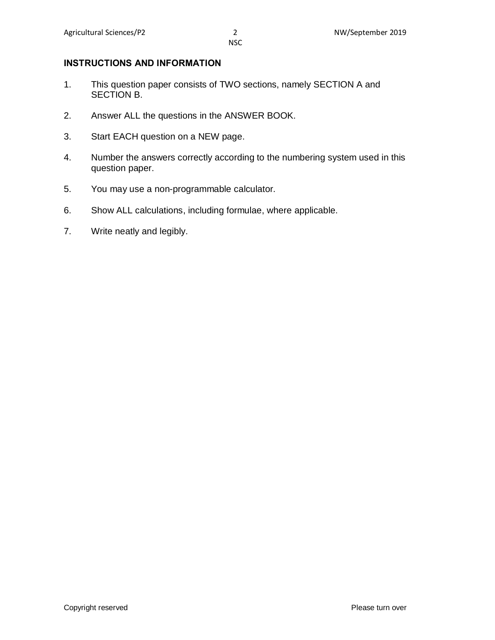#### **INSTRUCTIONS AND INFORMATION**

- 1. This question paper consists of TWO sections, namely SECTION A and SECTION B.
- 2. Answer ALL the questions in the ANSWER BOOK.
- 3. Start EACH question on a NEW page.
- 4. Number the answers correctly according to the numbering system used in this question paper.
- 5. You may use a non-programmable calculator.
- 6. Show ALL calculations, including formulae, where applicable.
- 7. Write neatly and legibly.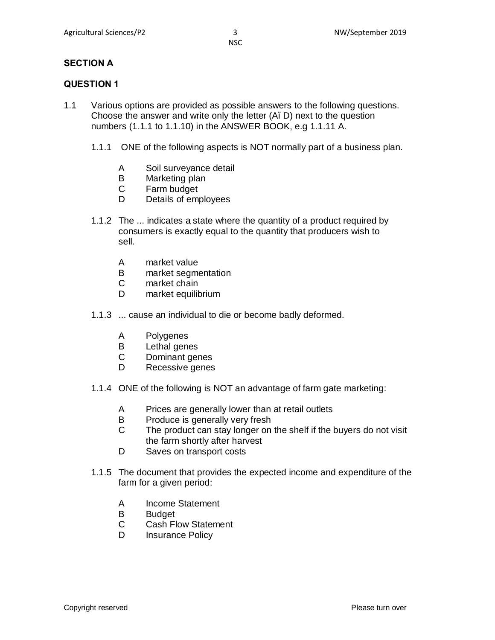#### **SECTION A**

#### **QUESTION 1**

- 1.1 Various options are provided as possible answers to the following questions. Choose the answer and write only the letter (A. D) next to the question numbers (1.1.1 to 1.1.10) in the ANSWER BOOK, e.g 1.1.11 A.
	- 1.1.1 ONE of the following aspects is NOT normally part of a business plan.
		- A Soil surveyance detail
		- B Marketing plan
		- C Farm budget
		- D Details of employees
	- 1.1.2 The ... indicates a state where the quantity of a product required by consumers is exactly equal to the quantity that producers wish to sell.
		- A market value
		- B market segmentation
		- C market chain
		- D market equilibrium
	- 1.1.3 ... cause an individual to die or become badly deformed.
		- A Polygenes
		- B Lethal genes
		- C Dominant genes
		- D Recessive genes
	- 1.1.4 ONE of the following is NOT an advantage of farm gate marketing:
		- A Prices are generally lower than at retail outlets
		- B Produce is generally very fresh
		- C The product can stay longer on the shelf if the buyers do not visit the farm shortly after harvest
		- D Saves on transport costs
	- 1.1.5 The document that provides the expected income and expenditure of the farm for a given period:
		- A Income Statement
		- B Budget
		- C Cash Flow Statement
		- D Insurance Policy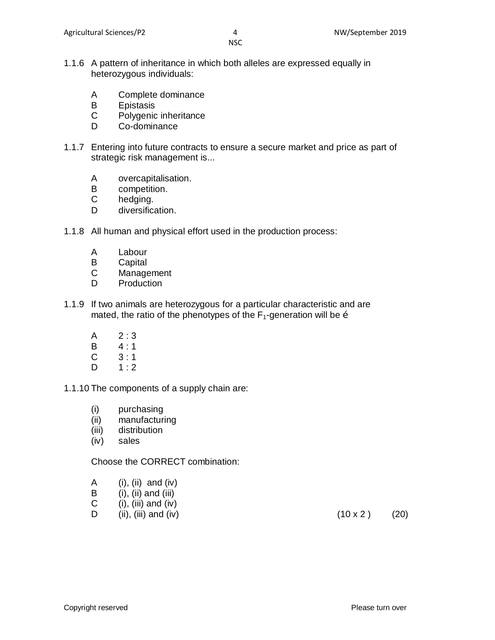- 1.1.6 A pattern of inheritance in which both alleles are expressed equally in heterozygous individuals:
	- A Complete dominance
	- B Epistasis
	- C Polygenic inheritance
	- D Co-dominance
- 1.1.7 Entering into future contracts to ensure a secure market and price as part of strategic risk management is...
	- A overcapitalisation.
	- B competition.
	- C hedging.
	- D diversification.
- 1.1.8 All human and physical effort used in the production process:
	- A Labour
	- B Capital
	- C Management
	- D Production
- 1.1.9 If two animals are heterozygous for a particular characteristic and are mated, the ratio of the phenotypes of the  $F_1$ -generation will be  $\ddot{\text{o}}$ 
	- $A \t2:3$
	- B 4 : 1
	- $C = 3 : 1$
	- $D \qquad 1:2$

#### 1.1.10 The components of a supply chain are:

- (i) purchasing
- (ii) manufacturing
- (iii) distribution
- (iv) sales

#### Choose the CORRECT combination:

- A (i), (ii) and (iv)
- $\mathbf{B}$  (i), (ii) and (iii)
- C  $(i)$ ,  $(iii)$  and  $(iv)$
- D (ii), (iii) and (iv) (10 x 2 ) (20)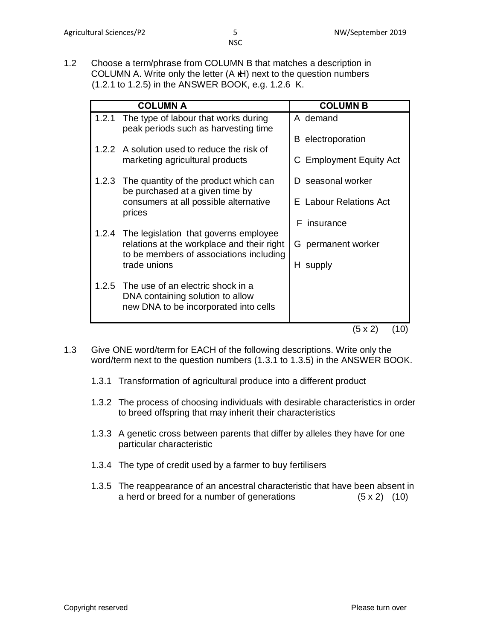1.2 Choose a term/phrase from COLUMN B that matches a description in COLUMN A. Write only the letter (A H) next to the question numbers (1.2.1 to 1.2.5) in the ANSWER BOOK, e.g. 1.2.6 K.

|       | <b>COLUMN A</b>                                                                                                | <b>COLUMN B</b>               |
|-------|----------------------------------------------------------------------------------------------------------------|-------------------------------|
|       | 1.2.1 The type of labour that works during<br>peak periods such as harvesting time                             | A demand                      |
|       | 1.2.2 A solution used to reduce the risk of                                                                    | electroporation<br>В          |
|       | marketing agricultural products                                                                                | C Employment Equity Act       |
|       | 1.2.3 The quantity of the product which can<br>be purchased at a given time by                                 | seasonal worker<br>D.         |
|       | consumers at all possible alternative<br>prices                                                                | <b>E</b> Labour Relations Act |
| 1.2.4 | The legislation that governs employee                                                                          | insurance<br>F.               |
|       | relations at the workplace and their right<br>to be members of associations including                          | permanent worker<br>G.        |
|       | trade unions                                                                                                   | H supply                      |
| 1.2.5 | The use of an electric shock in a<br>DNA containing solution to allow<br>new DNA to be incorporated into cells |                               |
|       |                                                                                                                | (10)<br>(5 x 2)               |

- 1.3 Give ONE word/term for EACH of the following descriptions. Write only the word/term next to the question numbers (1.3.1 to 1.3.5) in the ANSWER BOOK.
	- 1.3.1 Transformation of agricultural produce into a different product
	- 1.3.2 The process of choosing individuals with desirable characteristics in order to breed offspring that may inherit their characteristics
	- 1.3.3 A genetic cross between parents that differ by alleles they have for one particular characteristic
	- 1.3.4 The type of credit used by a farmer to buy fertilisers
	- 1.3.5 The reappearance of an ancestral characteristic that have been absent in a herd or breed for a number of generations (5 x 2) (10)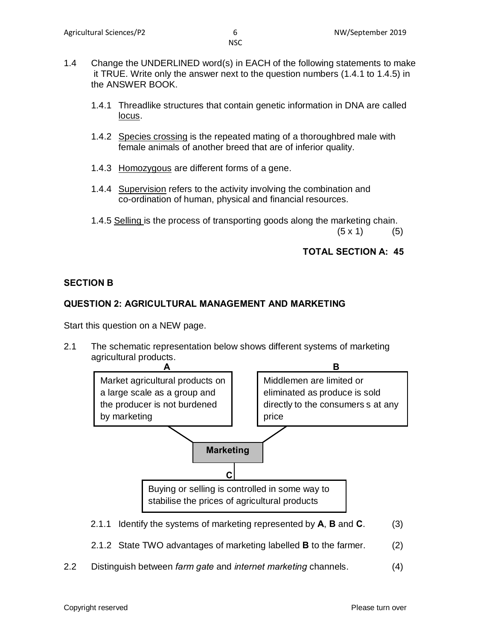- 1.4 Change the UNDERLINED word(s) in EACH of the following statements to make it TRUE. Write only the answer next to the question numbers (1.4.1 to 1.4.5) in the ANSWER BOOK.
	- 1.4.1 Threadlike structures that contain genetic information in DNA are called locus.
	- 1.4.2 Species crossing is the repeated mating of a thoroughbred male with female animals of another breed that are of inferior quality.
	- 1.4.3 Homozygous are different forms of a gene.
	- 1.4.4 Supervision refers to the activity involving the combination and co-ordination of human, physical and financial resources.
	- 1.4.5 Selling is the process of transporting goods along the marketing chain.

 $(5 \times 1)$  (5)

### **TOTAL SECTION A: 45**

### **SECTION B**

### **QUESTION 2: AGRICULTURAL MANAGEMENT AND MARKETING**

Start this question on a NEW page.

2.1 The schematic representation below shows different systems of marketing agricultural products.



- 2.1.2 State TWO advantages of marketing labelled **B** to the farmer. (2)
- 2.2 Distinguish between *farm gate* and *internet marketing* channels. (4)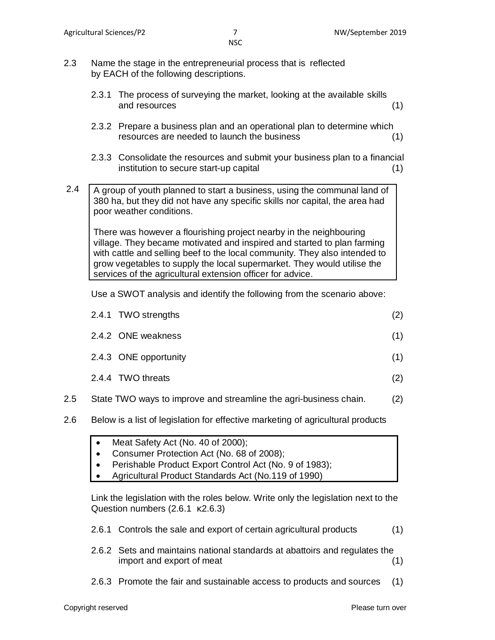- 2.3 Name the stage in the entrepreneurial process that is reflected by EACH of the following descriptions.
	- 2.3.1 The process of surveying the market, looking at the available skills and resources (1)
	- 2.3.2 Prepare a business plan and an operational plan to determine which resources are needed to launch the business (1)
	- 2.3.3 Consolidate the resources and submit your business plan to a financial institution to secure start-up capital (1)
- 2.4 A group of youth planned to start a business, using the communal land of 380 ha, but they did not have any specific skills nor capital, the area had poor weather conditions.

There was however a flourishing project nearby in the neighbouring village. They became motivated and inspired and started to plan farming with cattle and selling beef to the local community. They also intended to grow vegetables to supply the local supermarket. They would utilise the services of the agricultural extension officer for advice.

Use a SWOT analysis and identify the following from the scenario above:

|     | 2.4.1 TWO strengths                                               | (2) |
|-----|-------------------------------------------------------------------|-----|
|     | 2.4.2 ONE weakness                                                | (1) |
|     | 2.4.3 ONE opportunity                                             | (1) |
|     | 2.4.4 TWO threats                                                 | (2) |
| 2.5 | State TWO ways to improve and streamline the agri-business chain. | (2) |

- 2.6 Below is a list of legislation for effective marketing of agricultural products
	- Meat Safety Act (No. 40 of 2000);
	- Consumer Protection Act (No. 68 of 2008);
	- Perishable Product Export Control Act (No. 9 of 1983);
	- Agricultural Product Standards Act (No.119 of 1990)

Link the legislation with the roles below. Write only the legislation next to the Question numbers (2.6.1 2.6.3)

- 2.6.1 Controls the sale and export of certain agricultural products (1)
- 2.6.2 Sets and maintains national standards at abattoirs and regulates the import and export of meat (1)
- 2.6.3 Promote the fair and sustainable access to products and sources (1)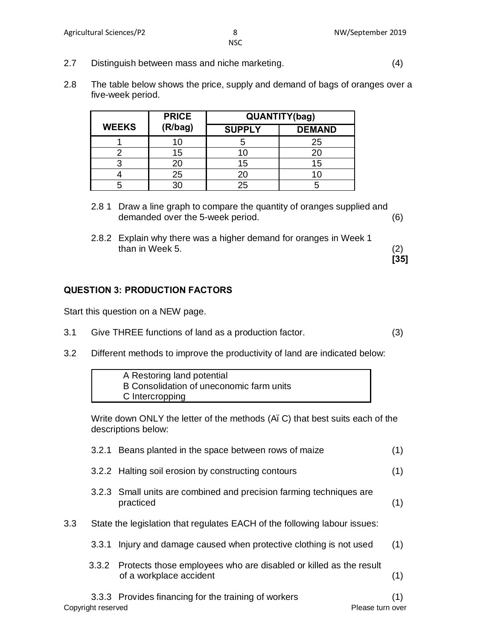**[35]**

NSC

- 2.7 Distinguish between mass and niche marketing. (4)
- 2.8 The table below shows the price, supply and demand of bags of oranges over a five-week period.

|              | <b>PRICE</b> | QUANTITY(bag) |               |
|--------------|--------------|---------------|---------------|
| <b>WEEKS</b> | (R/bag)      | <b>SUPPLY</b> | <b>DEMAND</b> |
|              |              |               | 25            |
|              | 15           | 1 ( 1         |               |
|              | 20           | 15            | 15            |
|              | 25           | 20            |               |
|              | ۹٢           | 25            |               |

- 2.8 1 Draw a line graph to compare the quantity of oranges supplied and demanded over the 5-week period. (6)
- 2.8.2 Explain why there was a higher demand for oranges in Week 1 than in Week 5. (2)

#### **QUESTION 3: PRODUCTION FACTORS**

Start this question on a NEW page.

- 3.1 Give THREE functions of land as a production factor. (3)
- 3.2 Different methods to improve the productivity of land are indicated below:

| A Restoring land potential               |  |
|------------------------------------------|--|
| B Consolidation of uneconomic farm units |  |
| C Intercropping                          |  |

Write down ONLY the letter of the methods (A. C) that best suits each of the descriptions below:

|     |                    | 3.2.1 Beans planted in the space between rows of maize                                             | (1) |
|-----|--------------------|----------------------------------------------------------------------------------------------------|-----|
|     |                    | 3.2.2 Halting soil erosion by constructing contours                                                | (1) |
|     |                    | 3.2.3 Small units are combined and precision farming techniques are<br>practiced                   | (1) |
| 3.3 |                    | State the legislation that regulates EACH of the following labour issues:                          |     |
|     | 3.3.1              | Injury and damage caused when protective clothing is not used                                      | (1) |
|     |                    | 3.3.2 Protects those employees who are disabled or killed as the result<br>of a workplace accident | (1) |
|     |                    | 3.3.3 Provides financing for the training of workers                                               | (1) |
|     | Copyright reserved | Please turn over                                                                                   |     |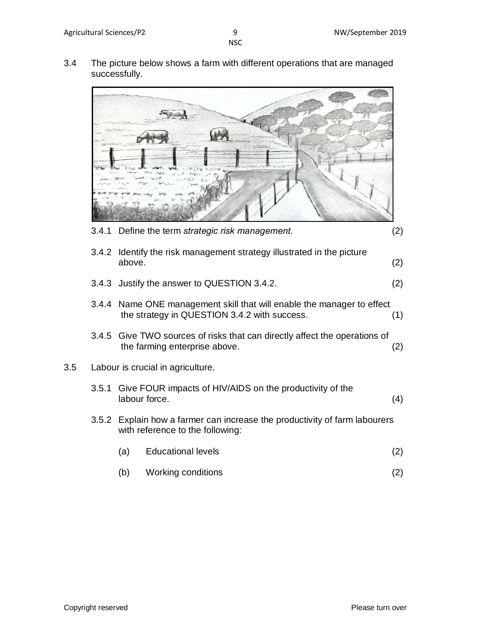3.4 The picture below shows a farm with different operations that are managed successfully.

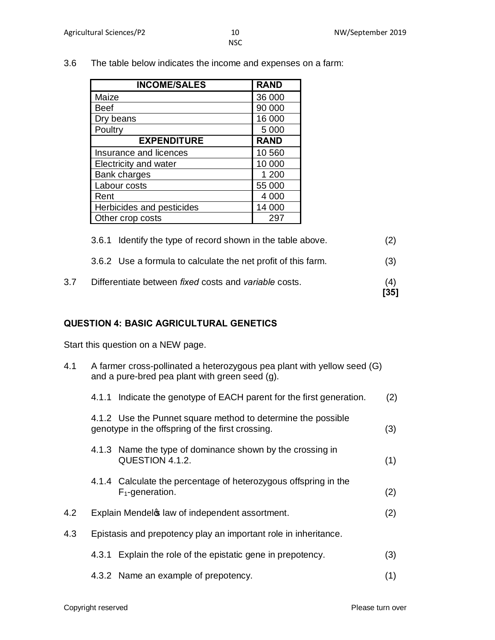3.6 The table below indicates the income and expenses on a farm:

| <b>INCOME/SALES</b>       | <b>RAND</b> |
|---------------------------|-------------|
| Maize                     | 36 000      |
| Beef                      | 90 000      |
| Dry beans                 | 16 000      |
| Poultry                   | 5 0 0 0     |
| <b>EXPENDITURE</b>        | <b>RAND</b> |
| Insurance and licences    | 10 560      |
| Electricity and water     | 10 000      |
| <b>Bank charges</b>       | 1 200       |
| Labour costs              | 55 000      |
| Rent                      | 4 0 0 0     |
| Herbicides and pesticides | 14 000      |
| Other crop costs          | 297         |

| 3.7 | Differentiate between fixed costs and variable costs.         | (4)<br>$[35]$ |
|-----|---------------------------------------------------------------|---------------|
|     | 3.6.2 Use a formula to calculate the net profit of this farm. | (3)           |
|     | 3.6.1 Identify the type of record shown in the table above.   | (2)           |

#### **QUESTION 4: BASIC AGRICULTURAL GENETICS**

Start this question on a NEW page.

| 4.1 | A farmer cross-pollinated a heterozygous pea plant with yellow seed (G)<br>and a pure-bred pea plant with green seed (g). |                                                                                                                  |     |  |
|-----|---------------------------------------------------------------------------------------------------------------------------|------------------------------------------------------------------------------------------------------------------|-----|--|
|     | 4.1.1                                                                                                                     | Indicate the genotype of EACH parent for the first generation.                                                   | (2) |  |
|     |                                                                                                                           | 4.1.2 Use the Punnet square method to determine the possible<br>genotype in the offspring of the first crossing. | (3) |  |
|     |                                                                                                                           | 4.1.3 Name the type of dominance shown by the crossing in<br>QUESTION 4.1.2.                                     | (1) |  |
|     |                                                                                                                           | 4.1.4 Calculate the percentage of heterozygous offspring in the<br>$F_1$ -generation.                            | (2) |  |
| 4.2 |                                                                                                                           | Explain Mendel & law of independent assortment.                                                                  | (2) |  |
| 4.3 |                                                                                                                           | Epistasis and prepotency play an important role in inheritance.                                                  |     |  |
|     | 4.3.1                                                                                                                     | Explain the role of the epistatic gene in prepotency.                                                            | (3) |  |

4.3.2 Name an example of prepotency. (1)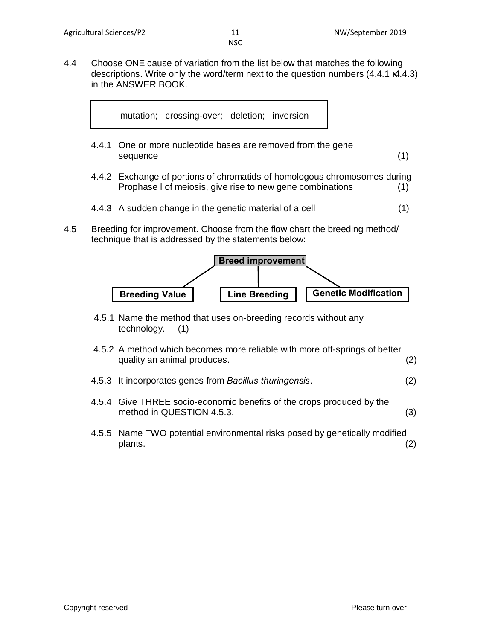4.4 Choose ONE cause of variation from the list below that matches the following descriptions. Write only the word/term next to the question numbers (4.4.1 4.4.3) in the ANSWER BOOK.



- 4.4.1 One or more nucleotide bases are removed from the gene sequence (1)
- 4.4.2 Exchange of portions of chromatids of homologous chromosomes during Prophase l of meiosis, give rise to new gene combinations (1)
- 4.4.3 A sudden change in the genetic material of a cell (1)
- 4.5 Breeding for improvement. Choose from the flow chart the breeding method/ technique that is addressed by the statements below:



- 4.5.1 Name the method that uses on-breeding records without any technology. (1)
- 4.5.2 A method which becomes more reliable with more off-springs of better quality an animal produces. (2)
- 4.5.3 It incorporates genes from *Bacillus thuringensis*. (2)
- 4.5.4 Give THREE socio-economic benefits of the crops produced by the method in QUESTION 4.5.3. (3)
- 4.5.5 Name TWO potential environmental risks posed by genetically modified plants. (2)